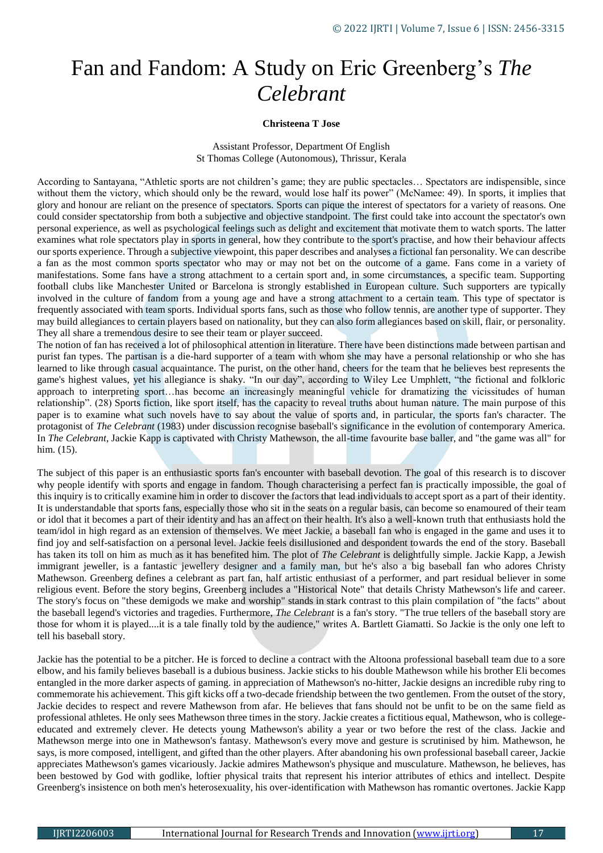## Fan and Fandom: A Study on Eric Greenberg's *The Celebrant*

## **Christeena T Jose**

Assistant Professor, Department Of English St Thomas College (Autonomous), Thrissur, Kerala

According to Santayana, "Athletic sports are not children's game; they are public spectacles… Spectators are indispensible, since without them the victory, which should only be the reward, would lose half its power" (McNamee: 49). In sports, it implies that glory and honour are reliant on the presence of spectators. Sports can pique the interest of spectators for a variety of reasons. One could consider spectatorship from both a subjective and objective standpoint. The first could take into account the spectator's own personal experience, as well as psychological feelings such as delight and excitement that motivate them to watch sports. The latter examines what role spectators play in sports in general, how they contribute to the sport's practise, and how their behaviour affects our sports experience. Through a subjective viewpoint, this paper describes and analyses a fictional fan personality. We can describe a fan as the most common sports spectator who may or may not bet on the outcome of a game. Fans come in a variety of manifestations. Some fans have a strong attachment to a certain sport and, in some circumstances, a specific team. Supporting football clubs like Manchester United or Barcelona is strongly established in European culture. Such supporters are typically involved in the culture of fandom from a young age and have a strong attachment to a certain team. This type of spectator is frequently associated with team sports. Individual sports fans, such as those who follow tennis, are another type of supporter. They may build allegiances to certain players based on nationality, but they can also form allegiances based on skill, flair, or personality. They all share a tremendous desire to see their team or player succeed.

The notion of fan has received a lot of philosophical attention in literature. There have been distinctions made between partisan and purist fan types. The partisan is a die-hard supporter of a team with whom she may have a personal relationship or who she has learned to like through casual acquaintance. The purist, on the other hand, cheers for the team that he believes best represents the game's highest values, yet his allegiance is shaky. "In our day", according to Wiley Lee Umphlett, "the fictional and folkloric approach to interpreting sport…has become an increasingly meaningful vehicle for dramatizing the vicissitudes of human relationship". (28) Sports fiction, like sport itself, has the capacity to reveal truths about human nature. The main purpose of this paper is to examine what such novels have to say about the value of sports and, in particular, the sports fan's character. The protagonist of *The Celebrant* (1983) under discussion recognise baseball's significance in the evolution of contemporary America. In *The Celebrant*, Jackie Kapp is captivated with Christy Mathewson, the all-time favourite base baller, and "the game was all" for him. (15).

The subject of this paper is an enthusiastic sports fan's encounter with baseball devotion. The goal of this research is to discover why people identify with sports and engage in fandom. Though characterising a perfect fan is practically impossible, the goal of this inquiry is to critically examine him in order to discover the factors that lead individuals to accept sport as a part of their identity. It is understandable that sports fans, especially those who sit in the seats on a regular basis, can become so enamoured of their team or idol that it becomes a part of their identity and has an affect on their health. It's also a well-known truth that enthusiasts hold the team/idol in high regard as an extension of themselves. We meet Jackie, a baseball fan who is engaged in the game and uses it to find joy and self-satisfaction on a personal level. Jackie feels disillusioned and despondent towards the end of the story. Baseball has taken its toll on him as much as it has benefited him. The plot of *The Celebrant* is delightfully simple. Jackie Kapp, a Jewish immigrant jeweller, is a fantastic jewellery designer and a family man, but he's also a big baseball fan who adores Christy Mathewson. Greenberg defines a celebrant as part fan, half artistic enthusiast of a performer, and part residual believer in some religious event. Before the story begins, Greenberg includes a "Historical Note" that details Christy Mathewson's life and career. The story's focus on "these demigods we make and worship" stands in stark contrast to this plain compilation of "the facts" about the baseball legend's victories and tragedies. Furthermore, *The Celebrant* is a fan's story. "The true tellers of the baseball story are those for whom it is played....it is a tale finally told by the audience," writes A. Bartlett Giamatti. So Jackie is the only one left to tell his baseball story.

Jackie has the potential to be a pitcher. He is forced to decline a contract with the Altoona professional baseball team due to a sore elbow, and his family believes baseball is a dubious business. Jackie sticks to his double Mathewson while his brother Eli becomes entangled in the more darker aspects of gaming. in appreciation of Mathewson's no-hitter, Jackie designs an incredible ruby ring to commemorate his achievement. This gift kicks off a two-decade friendship between the two gentlemen. From the outset of the story, Jackie decides to respect and revere Mathewson from afar. He believes that fans should not be unfit to be on the same field as professional athletes. He only sees Mathewson three times in the story. Jackie creates a fictitious equal, Mathewson, who is collegeeducated and extremely clever. He detects young Mathewson's ability a year or two before the rest of the class. Jackie and Mathewson merge into one in Mathewson's fantasy. Mathewson's every move and gesture is scrutinised by him. Mathewson, he says, is more composed, intelligent, and gifted than the other players. After abandoning his own professional baseball career, Jackie appreciates Mathewson's games vicariously. Jackie admires Mathewson's physique and musculature. Mathewson, he believes, has been bestowed by God with godlike, loftier physical traits that represent his interior attributes of ethics and intellect. Despite Greenberg's insistence on both men's heterosexuality, his over-identification with Mathewson has romantic overtones. Jackie Kapp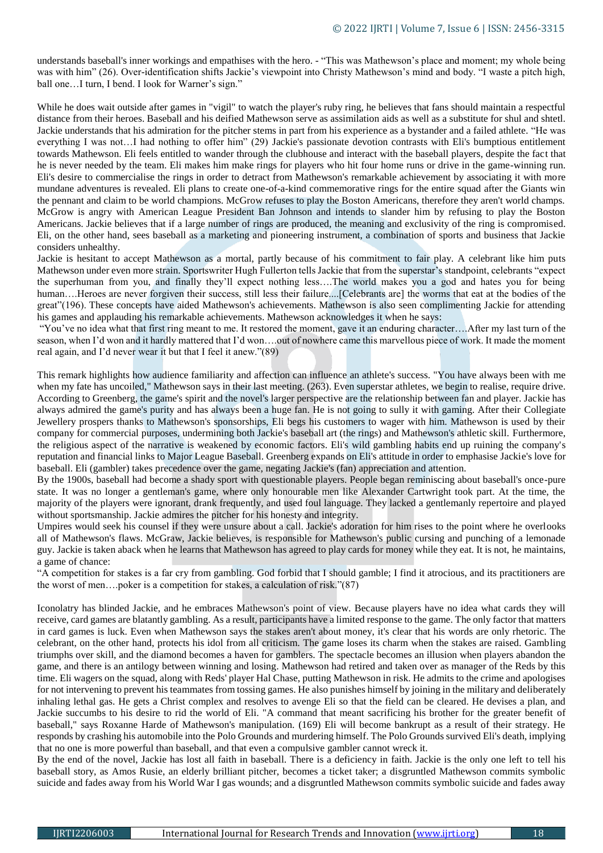understands baseball's inner workings and empathises with the hero. - "This was Mathewson's place and moment; my whole being was with him" (26). Over-identification shifts Jackie's viewpoint into Christy Mathewson's mind and body. "I waste a pitch high, ball one…I turn, I bend. I look for Warner's sign."

While he does wait outside after games in "vigil" to watch the player's ruby ring, he believes that fans should maintain a respectful distance from their heroes. Baseball and his deified Mathewson serve as assimilation aids as well as a substitute for shul and shtetl. Jackie understands that his admiration for the pitcher stems in part from his experience as a bystander and a failed athlete. "He was everything I was not…I had nothing to offer him" (29) Jackie's passionate devotion contrasts with Eli's bumptious entitlement towards Mathewson. Eli feels entitled to wander through the clubhouse and interact with the baseball players, despite the fact that he is never needed by the team. Eli makes him make rings for players who hit four home runs or drive in the game-winning run. Eli's desire to commercialise the rings in order to detract from Mathewson's remarkable achievement by associating it with more mundane adventures is revealed. Eli plans to create one-of-a-kind commemorative rings for the entire squad after the Giants win the pennant and claim to be world champions. McGrow refuses to play the Boston Americans, therefore they aren't world champs. McGrow is angry with American League President Ban Johnson and intends to slander him by refusing to play the Boston Americans. Jackie believes that if a large number of rings are produced, the meaning and exclusivity of the ring is compromised. Eli, on the other hand, sees baseball as a marketing and pioneering instrument, a combination of sports and business that Jackie considers unhealthy.

Jackie is hesitant to accept Mathewson as a mortal, partly because of his commitment to fair play. A celebrant like him puts Mathewson under even more strain. Sportswriter Hugh Fullerton tells Jackie that from the superstar's standpoint, celebrants "expect the superhuman from you, and finally they'll expect nothing less….The world makes you a god and hates you for being human....Heroes are never forgiven their success, still less their failure....[Celebrants are] the worms that eat at the bodies of the great"(196). These concepts have aided Mathewson's achievements. Mathewson is also seen complimenting Jackie for attending his games and applauding his remarkable achievements. Mathewson acknowledges it when he says:

"You've no idea what that first ring meant to me. It restored the moment, gave it an enduring character….After my last turn of the season, when I'd won and it hardly mattered that I'd won...out of nowhere came this marvellous piece of work. It made the moment real again, and I'd never wear it but that I feel it anew."(89)

This remark highlights how audience familiarity and affection can influence an athlete's success. "You have always been with me when my fate has uncoiled," Mathewson says in their last meeting. (263). Even superstar athletes, we begin to realise, require drive. According to Greenberg, the game's spirit and the novel's larger perspective are the relationship between fan and player. Jackie has always admired the game's purity and has always been a huge fan. He is not going to sully it with gaming. After their Collegiate Jewellery prospers thanks to Mathewson's sponsorships, Eli begs his customers to wager with him. Mathewson is used by their company for commercial purposes, undermining both Jackie's baseball art (the rings) and Mathewson's athletic skill. Furthermore, the religious aspect of the narrative is weakened by economic factors. Eli's wild gambling habits end up ruining the company's reputation and financial links to Major League Baseball. Greenberg expands on Eli's attitude in order to emphasise Jackie's love for baseball. Eli (gambler) takes precedence over the game, negating Jackie's (fan) appreciation and attention.

By the 1900s, baseball had become a shady sport with questionable players. People began reminiscing about baseball's once-pure state. It was no longer a gentleman's game, where only honourable men like Alexander Cartwright took part. At the time, the majority of the players were ignorant, drank frequently, and used foul language. They lacked a gentlemanly repertoire and played without sportsmanship. Jackie admires the pitcher for his honesty and integrity.

Umpires would seek his counsel if they were unsure about a call. Jackie's adoration for him rises to the point where he overlooks all of Mathewson's flaws. McGraw, Jackie believes, is responsible for Mathewson's public cursing and punching of a lemonade guy. Jackie is taken aback when he learns that Mathewson has agreed to play cards for money while they eat. It is not, he maintains, a game of chance:

"A competition for stakes is a far cry from gambling. God forbid that I should gamble; I find it atrocious, and its practitioners are the worst of men....poker is a competition for stakes, a calculation of risk." $(87)$ 

Iconolatry has blinded Jackie, and he embraces Mathewson's point of view. Because players have no idea what cards they will receive, card games are blatantly gambling. As a result, participants have a limited response to the game. The only factor that matters in card games is luck. Even when Mathewson says the stakes aren't about money, it's clear that his words are only rhetoric. The celebrant, on the other hand, protects his idol from all criticism. The game loses its charm when the stakes are raised. Gambling triumphs over skill, and the diamond becomes a haven for gamblers. The spectacle becomes an illusion when players abandon the game, and there is an antilogy between winning and losing. Mathewson had retired and taken over as manager of the Reds by this time. Eli wagers on the squad, along with Reds' player Hal Chase, putting Mathewson in risk. He admits to the crime and apologises for not intervening to prevent his teammates from tossing games. He also punishes himself by joining in the military and deliberately inhaling lethal gas. He gets a Christ complex and resolves to avenge Eli so that the field can be cleared. He devises a plan, and Jackie succumbs to his desire to rid the world of Eli. "A command that meant sacrificing his brother for the greater benefit of baseball," says Roxanne Harde of Mathewson's manipulation. (169) Eli will become bankrupt as a result of their strategy. He responds by crashing his automobile into the Polo Grounds and murdering himself. The Polo Grounds survived Eli's death, implying that no one is more powerful than baseball, and that even a compulsive gambler cannot wreck it.

By the end of the novel, Jackie has lost all faith in baseball. There is a deficiency in faith. Jackie is the only one left to tell his baseball story, as Amos Rusie, an elderly brilliant pitcher, becomes a ticket taker; a disgruntled Mathewson commits symbolic suicide and fades away from his World War I gas wounds; and a disgruntled Mathewson commits symbolic suicide and fades away